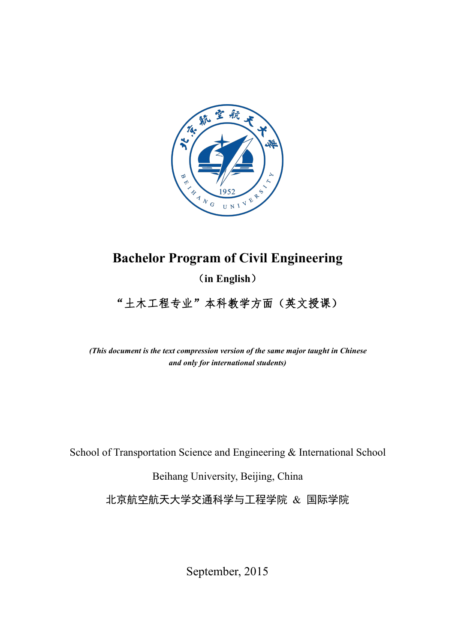

# **Bachelor Program of Civil Engineering**

(**in English**)

"土木工程专业"本科教学方面(英文授课)

*(This document is the text compression version of the same major taught in Chinese and only for international students)*

School of Transportation Science and Engineering & International School

Beihang University, Beijing, China

北京航空航天大学交通科学与工程学院 & 国际学院

September, 2015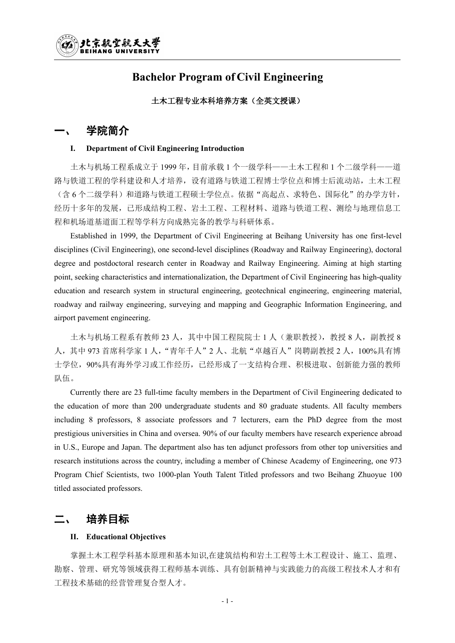## **Bachelor Program of Civil Engineering**

### 土木工程专业本科培养方案(全英文授课)

## 学院简介

#### **I. Department of Civil Engineering Introduction**

土木与机场工程系成立于 1999 年,目前承载 1 个一级学科——土木工程和 1 个二级学科——道 路与铁道工程的学科建设和人才培养,设有道路与铁道工程博士学位点和博士后流动站,土木工程 (含 6 个二级学科)和道路与铁道工程硕士学位点。依据"高起点、求特色、国际化"的办学方针, 经历十多年的发展,已形成结构工程、岩土工程、工程材料、道路与铁道工程、测绘与地理信息工 程和机场道基道面工程等学科方向成熟完备的教学与科研体系。

Established in 1999, the Department of Civil Engineering at Beihang University has one first-level disciplines (Civil Engineering), one second-level disciplines (Roadway and Railway Engineering), doctoral degree and postdoctoral research center in Roadway and Railway Engineering. Aiming at high starting point, seeking characteristics and internationalization, the Department of Civil Engineering has high-quality education and research system in structural engineering, geotechnical engineering, engineering material, roadway and railway engineering, surveying and mapping and Geographic Information Engineering, and airport pavement engineering.

土木与机场工程系有教师 23 人,其中中国工程院院士 1 人 (兼职教授),教授 8 人, 副教授 8 人,其中 973 首席科学家 1 人,"青年千人"2 人、北航"卓越百人"岗聘副教授 2 人,100%具有博 士学位,90%具有海外学习或工作经历,已经形成了一支结构合理、积极进取、创新能力强的教师 队伍。

Currently there are 23 full-time faculty members in the Department of Civil Engineering dedicated to the education of more than 200 undergraduate students and 80 graduate students. All faculty members including 8 professors, 8 associate professors and 7 lecturers, earn the PhD degree from the most prestigious universities in China and oversea. 90% of our faculty members have research experience abroad in U.S., Europe and Japan. The department also has ten adjunct professors from other top universities and research institutions across the country, including a member of Chinese Academy of Engineering, one 973 Program Chief Scientists, two 1000-plan Youth Talent Titled professors and two Beihang Zhuoyue 100 titled associated professors.

## 培养目标

### **II. Educational Objectives**

掌握土木工程学科基本原理和基本知识,在建筑结构和岩土工程等土木工程设计、施工、监理、 勘察、管理、研究等领域获得工程师基本训练、具有创新精神与实践能力的高级工程技术人才和有 工程技术基础的经营管理复合型人才。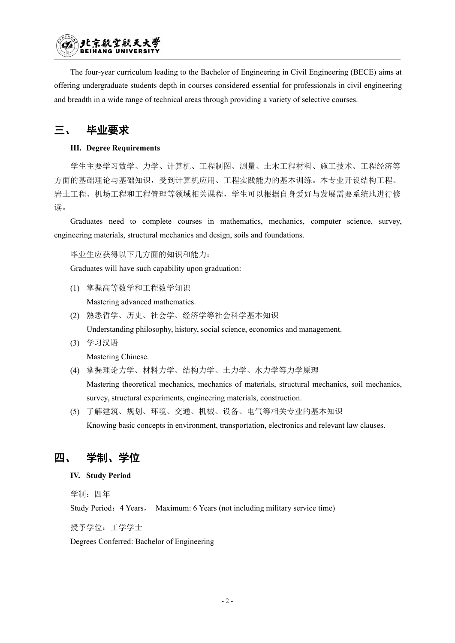

The four-year curriculum leading to the Bachelor of Engineering in Civil Engineering (BECE) aims at offering undergraduate students depth in courses considered essential for professionals in civil engineering and breadth in a wide range of technical areas through providing a variety of selective courses.

## 三、 毕业要求

### **III. Degree Requirements**

学生主要学习数学、力学、计算机、工程制图、测量、土木工程材料、施工技术、工程经济等 方面的基础理论与基础知识,受到计算机应用、工程实践能力的基本训练。本专业开设结构工程、 岩土工程、机场工程和工程管理等领域相关课程,学生可以根据自身爱好与发展需要系统地进行修 读。

Graduates need to complete courses in mathematics, mechanics, computer science, survey, engineering materials, structural mechanics and design, soils and foundations.

毕业生应获得以下几方面的知识和能力:

Graduates will have such capability upon graduation:

(1) 掌握高等数学和工程数学知识

Mastering advanced mathematics.

(2) 熟悉哲学、历史、社会学、经济学等社会科学基本知识

Understanding philosophy, history, social science, economics and management.

(3) 学习汉语

Mastering Chinese.

- (4) 掌握理论力学、材料力学、结构力学、土力学、水力学等力学原理 Mastering theoretical mechanics, mechanics of materials, structural mechanics, soil mechanics, survey, structural experiments, engineering materials, construction.
- (5) 了解建筑、规划、环境、交通、机械、设备、电气等相关专业的基本知识 Knowing basic concepts in environment, transportation, electronics and relevant law clauses.

## 四、 学制、学位

### **IV. Study Period**

学制: 四年

Study Period:4 Years, Maximum: 6 Years (not including military service time)

授予学位:工学学士

Degrees Conferred: Bachelor of Engineering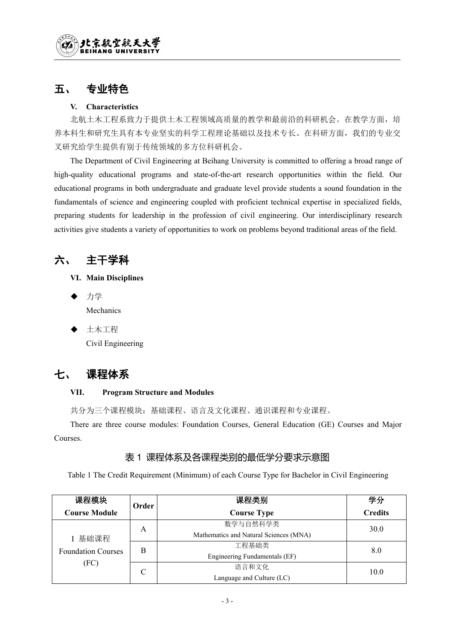## 五、 专业特色

### **V. Characteristics**

北航土木工程系致力于提供土木工程领域高质量的教学和最前沿的科研机会。在教学方面,培 养本科生和研究生具有本专业坚实的科学工程理论基础以及技术专长。在科研方面,我们的专业交 叉研究给学生提供有别于传统领域的多方位科研机会。

The Department of Civil Engineering at Beihang University is committed to offering a broad range of high-quality educational programs and state-of-the-art research opportunities within the field. Our educational programs in both undergraduate and graduate level provide students a sound foundation in the fundamentals of science and engineering coupled with proficient technical expertise in specialized fields, preparing students for leadership in the profession of civil engineering. Our interdisciplinary research activities give students a variety of opportunities to work on problems beyond traditional areas ofthe field.

六、 主干学科

- **VI. Main Disciplines**
- ◆ 力学 マングランス アクセス しんしょう かんしょう かんしょう Mechanics
- 土木工程

Civil Engineering

# 七、 课程体系

### **VII. Program Structure and Modules**

共分为三个课程模块:基础课程、语言及文化课程、通识课程和专业课程。

There are three course modules: Foundation Courses, General Education (GE) Courses and Major Courses.

## 表 1 课程体系及各课程类别的最低学分要求示意图

Table 1 The Credit Requirement (Minimum) of each Course Type for Bachelor in Civil Engineering

| 课程模块                      | Order | 课程类别                                   | 学分             |
|---------------------------|-------|----------------------------------------|----------------|
| <b>Course Module</b>      |       | <b>Course Type</b>                     | <b>Credits</b> |
|                           | А     | 数学与自然科学类                               | 30.0           |
| I 基础课程                    |       | Mathematics and Natural Sciences (MNA) |                |
| <b>Foundation Courses</b> | B     | 工程基础类                                  | 8.0            |
|                           |       | Engineering Fundamentals (EF)          |                |
| (FC)                      | С     | 语言和文化                                  | 10.0           |
|                           |       | Language and Culture (LC)              |                |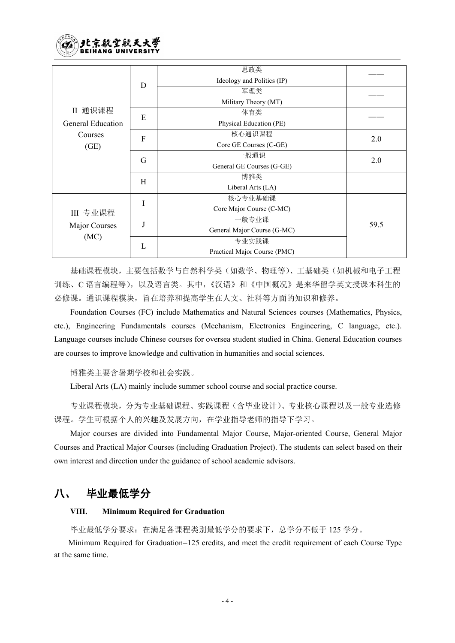

|                          |                           | 思政类                          |      |
|--------------------------|---------------------------|------------------------------|------|
|                          | $\mathbf D$               | Ideology and Politics (IP)   |      |
|                          |                           | 军理类                          |      |
|                          |                           | Military Theory (MT)         |      |
| II 通识课程                  | E                         | 体育类                          |      |
| <b>General Education</b> |                           | Physical Education (PE)      |      |
| Courses<br>(GE)          | ${\bf F}$                 | 核心通识课程                       |      |
|                          |                           | Core GE Courses (C-GE)       | 2.0  |
|                          | G                         | 一般通识                         | 2.0  |
|                          |                           | General GE Courses (G-GE)    |      |
|                          | $\boldsymbol{\mathrm{H}}$ | 博雅类                          |      |
|                          |                           | Liberal Arts (LA)            |      |
|                          |                           | 核心专业基础课                      |      |
| III 专业课程                 |                           | Core Major Course (C-MC)     |      |
|                          |                           | 一般专业课                        |      |
| Major Courses            |                           | General Major Course (G-MC)  | 59.5 |
| (MC)                     |                           | 专业实践课                        |      |
|                          | L                         | Practical Major Course (PMC) |      |

基础课程模块,主要包括数学与自然科学类(如数学、物理等)、工基础类(如机械和电子工程 训练、C 语言编程等),以及语言类。其中,《汉语》和《中国概况》是来华留学英文授课本科生的 必修课。通识课程模块,旨在培养和提高学生在人文、社科等方面的知识和修养。

Foundation Courses (FC) include Mathematics and Natural Sciences courses (Mathematics, Physics, etc.), Engineering Fundamentals courses (Mechanism, Electronics Engineering, C language, etc.). Language courses include Chinese courses for oversea student studied in China. General Education courses are courses to improve knowledge and cultivation in humanities and social sciences.

博雅类主要含暑期学校和社会实践。

Liberal Arts (LA) mainly include summer school course and social practice course.

专业课程模块,分为专业基础课程、实践课程(含毕业设计)、专业核心课程以及一般专业选修 课程。学生可根据个人的兴趣及发展方向,在学业指导老师的指导下学习。

Major courses are divided into Fundamental Major Course, Major-oriented Course, General Major Courses and Practical Major Courses (including Graduation Project). The students can select based on their own interest and direction under the guidance of school academic advisors.

## 八、 毕业最低学分

### **VIII. Minimum Required for Graduation**

毕业最低学分要求:在满足各课程类别最低学分的要求下,总学分不低于 125 学分。

Minimum Required for Graduation=125 credits, and meet the credit requirement of each Course Type at the same time.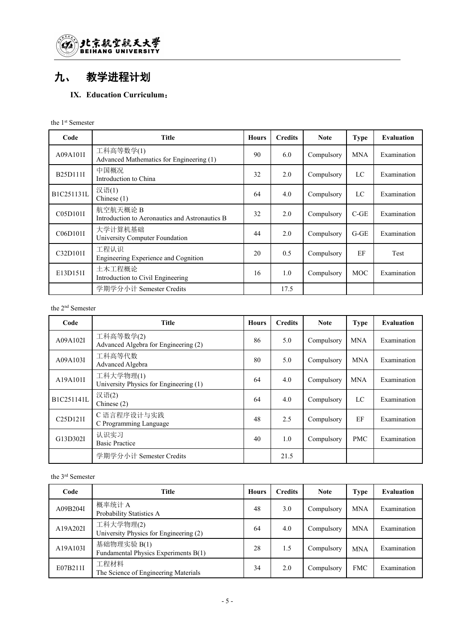

# 九、 教学进程计划

## **IX. Education Curriculum**:

#### the 1 st Semester

| Code       | <b>Title</b>                                              | <b>Hours</b> | <b>Credits</b> | <b>Note</b> | <b>Type</b> | <b>Evaluation</b> |
|------------|-----------------------------------------------------------|--------------|----------------|-------------|-------------|-------------------|
| A09A101I   | 工科高等数学(1)<br>Advanced Mathematics for Engineering (1)     | 90           | 6.0            | Compulsory  | <b>MNA</b>  | Examination       |
| B25D111I   | 中国概况<br>Introduction to China                             | 32           | 2.0            | Compulsory  | LC          | Examination       |
| B1C251131L | 汉语(1)<br>Chinese $(1)$                                    | 64           | 4.0            | Compulsory  | LC          | Examination       |
| C05D101I   | 航空航天概论B<br>Introduction to Aeronautics and Astronautics B | 32           | 2.0            | Compulsory  | $C-GE$      | Examination       |
| C06D101I   | 大学计算机基础<br>University Computer Foundation                 | 44           | 2.0            | Compulsory  | $G-GE$      | Examination       |
| C32D101I   | 工程认识<br>Engineering Experience and Cognition              | 20           | 0.5            | Compulsory  | EF          | Test              |
| E13D151I   | 土木工程概论<br>Introduction to Civil Engineering               | 16           | 1.0            | Compulsory  | <b>MOC</b>  | Examination       |
|            | 学期学分小计 Semester Credits                                   |              | 17.5           |             |             |                   |

#### the 2 nd Semester

| Code                               | <b>Title</b>                                        | <b>Hours</b> | <b>Credits</b> | <b>Note</b> | <b>Type</b> | <b>Evaluation</b> |
|------------------------------------|-----------------------------------------------------|--------------|----------------|-------------|-------------|-------------------|
| A09A102I                           | 工科高等数学(2)<br>Advanced Algebra for Engineering (2)   | 86           | 5.0            | Compulsory  | <b>MNA</b>  | Examination       |
| A09A103I                           | 工科高等代数<br>Advanced Algebra                          | 80           | 5.0            | Compulsory  | <b>MNA</b>  | Examination       |
| A19A101I                           | 工科大学物理(1)<br>University Physics for Engineering (1) | 64           | 4.0            | Compulsory  | <b>MNA</b>  | Examination       |
| B1C251141L                         | 汉语(2)<br>Chinese $(2)$                              | 64           | 4.0            | Compulsory  | LC          | Examination       |
| C <sub>25</sub> D <sub>121</sub> I | C 语言程序设计与实践<br>C Programming Language               | 48           | 2.5            | Compulsory  | EF          | Examination       |
| G13D302I                           | 认识实习<br><b>Basic Practice</b>                       | 40           | 1.0            | Compulsory  | <b>PMC</b>  | Examination       |
|                                    | 学期学分小计 Semester Credits                             |              | 21.5           |             |             |                   |

#### the 3 rd Semester

| Code     | <b>Title</b>                                        | <b>Hours</b> | <b>Credits</b> | <b>Note</b> | <b>Type</b> | <b>Evaluation</b> |
|----------|-----------------------------------------------------|--------------|----------------|-------------|-------------|-------------------|
| A09B204I | 概率统计 A<br>Probability Statistics A                  | 48           | 3.0            | Compulsory  | <b>MNA</b>  | Examination       |
| A19A202I | 工科大学物理(2)<br>University Physics for Engineering (2) | 64           | 4.0            | Compulsory  | <b>MNA</b>  | Examination       |
| A19A103I | 基础物理实验 B(1)<br>Fundamental Physics Experiments B(1) | 28           | 1.5            | Compulsory  | <b>MNA</b>  | Examination       |
| E07B211I | 工程材料<br>The Science of Engineering Materials        | 34           | 2.0            | Compulsory  | <b>FMC</b>  | Examination       |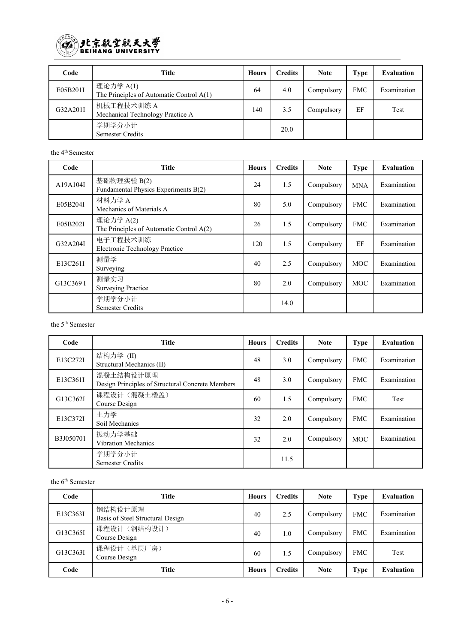

| Code     | Title                                                   | <b>Hours</b> | <b>Credits</b> | <b>Note</b> | <b>Type</b> | Evaluation  |
|----------|---------------------------------------------------------|--------------|----------------|-------------|-------------|-------------|
| E05B201I | 理论力学 A(1)<br>The Principles of Automatic Control $A(1)$ | 64           | 4.0            | Compulsory  | <b>FMC</b>  | Examination |
| G32A201I | 机械工程技术训练 A<br>Mechanical Technology Practice A          | 140          | 3.5            | Compulsory  | EF          | Test        |
|          | 学期学分小计<br><b>Semester Credits</b>                       |              | 20.0           |             |             |             |

the 4 th Semester

| Code      | Title                                                 | <b>Hours</b> | <b>Credits</b> | <b>Note</b> | <b>Type</b> | <b>Evaluation</b> |
|-----------|-------------------------------------------------------|--------------|----------------|-------------|-------------|-------------------|
| A19A104I  | 基础物理实验 B(2)<br>Fundamental Physics Experiments B(2)   | 24           | 1.5            | Compulsory  | <b>MNA</b>  | Examination       |
| E05B204I  | 材料力学 A<br>Mechanics of Materials A                    | 80           | 5.0            | Compulsory  | <b>FMC</b>  | Examination       |
| E05B202I  | 理论力学 A(2)<br>The Principles of Automatic Control A(2) | 26           | 1.5            | Compulsory  | <b>FMC</b>  | Examination       |
| G32A204I  | 电子工程技术训练<br><b>Electronic Technology Practice</b>     | 120          | 1.5            | Compulsory  | EF          | Examination       |
| E13C261I  | 测量学<br>Surveying                                      | 40           | 2.5            | Compulsory  | <b>MOC</b>  | Examination       |
| G13C369 I | 测量实习<br><b>Surveying Practice</b>                     | 80           | 2.0            | Compulsory  | <b>MOC</b>  | Examination       |
|           | 学期学分小计<br>Semester Credits                            |              | 14.0           |             |             |                   |

the 5 th Semester

| Code      | <b>Title</b>                                                  | <b>Hours</b> | <b>Credits</b> | <b>Note</b> | <b>Type</b> | <b>Evaluation</b> |
|-----------|---------------------------------------------------------------|--------------|----------------|-------------|-------------|-------------------|
| E13C272I  | 结构力学 (II)<br>Structural Mechanics (II)                        | 48           | 3.0            | Compulsory  | <b>FMC</b>  | Examination       |
| E13C361I  | 混凝土结构设计原理<br>Design Principles of Structural Concrete Members | 48           | 3.0            | Compulsory  | <b>FMC</b>  | Examination       |
| G13C362I  | 课程设计(混凝土楼盖)<br>Course Design                                  | 60           | 1.5            | Compulsory  | <b>FMC</b>  | Test              |
| E13C372I  | 土力学<br>Soil Mechanics                                         | 32           | 2.0            | Compulsory  | <b>FMC</b>  | Examination       |
| B3J050701 | 振动力学基础<br><b>Vibration Mechanics</b>                          | 32           | 2.0            | Compulsory  | <b>MOC</b>  | Examination       |
|           | 学期学分小计<br><b>Semester Credits</b>                             |              | 11.5           |             |             |                   |

the 6 th Semester

| Code     | Title                                       | <b>Hours</b> | <b>Credits</b> | <b>Note</b> | <b>Type</b> | <b>Evaluation</b> |
|----------|---------------------------------------------|--------------|----------------|-------------|-------------|-------------------|
| E13C363I | 钢结构设计原理<br>Basis of Steel Structural Design | 40           | 2.5            | Compulsory  | <b>FMC</b>  | Examination       |
| G13C365I | 课程设计(钢结构设计)<br>Course Design                | 40           | 1.0            | Compulsory  | <b>FMC</b>  | Examination       |
| G13C363I | 课程设计(单层厂房)<br>Course Design                 | 60           | 1.5            | Compulsory  | <b>FMC</b>  | Test              |
| Code     | Title                                       | <b>Hours</b> | <b>Credits</b> | <b>Note</b> | <b>Type</b> | <b>Evaluation</b> |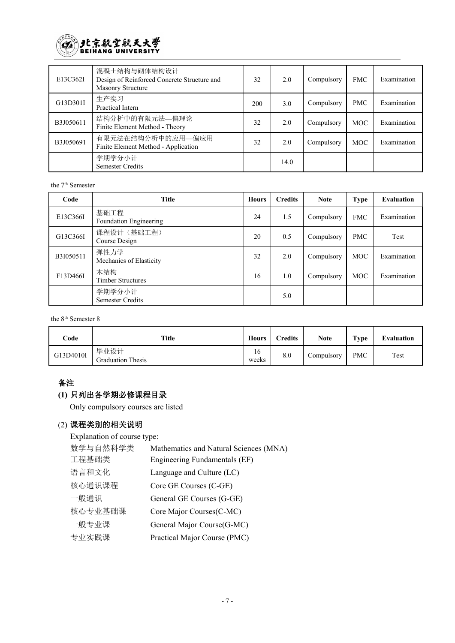

| E13C362I  | 混凝土结构与砌体结构设计<br>Design of Reinforced Concrete Structure and<br>Masonry Structure | 32  | 2.0  | Compulsory | <b>FMC</b> | Examination |
|-----------|----------------------------------------------------------------------------------|-----|------|------------|------------|-------------|
| G13D301I  | 生产实习<br>Practical Intern                                                         | 200 | 3.0  | Compulsory | <b>PMC</b> | Examination |
| B3J050611 | 结构分析中的有限元法—偏理论<br>Finite Element Method - Theory                                 | 32  | 2.0  | Compulsory | <b>MOC</b> | Examination |
| B3J050691 | 有限元法在结构分析中的应用—偏应用<br>Finite Element Method - Application                         | 32  | 2.0  | Compulsory | <b>MOC</b> | Examination |
|           | 学期学分小计<br><b>Semester Credits</b>                                                |     | 14.0 |            |            |             |

the 7 th Semester

| Code      | <b>Title</b>                      | Hours | <b>Credits</b> | <b>Note</b> | <b>Type</b> | <b>Evaluation</b> |
|-----------|-----------------------------------|-------|----------------|-------------|-------------|-------------------|
| E13C366I  | 基础工程<br>Foundation Engineering    | 24    | 1.5            | Compulsory  | <b>FMC</b>  | Examination       |
| G13C366I  | 课程设计(基础工程)<br>Course Design       | 20    | 0.5            | Compulsory  | <b>PMC</b>  | Test              |
| B3I050511 | 弹性力学<br>Mechanics of Elasticity   | 32    | 2.0            | Compulsory  | <b>MOC</b>  | Examination       |
| F13D466I  | 木结构<br><b>Timber Structures</b>   | 16    | 1.0            | Compulsory  | <b>MOC</b>  | Examination       |
|           | 学期学分小计<br><b>Semester Credits</b> |       | 5.0            |             |             |                   |

the 8<sup>th</sup> Semester 8

| Code      | <b>Title</b>                     | Hours       | <b>Credits</b> | <b>Note</b> | Type       | Evaluation |
|-----------|----------------------------------|-------------|----------------|-------------|------------|------------|
| G13D4010I | 毕业设计<br><b>Graduation Thesis</b> | 16<br>weeks | 8.0            | Compulsory  | <b>PMC</b> | Test       |

## 备注

## **(1)** 只列出各学期必修课程目录

Only compulsory courses are listed

## (2) 课程类别的相关说明

Explanation of course type:

| Mathematics and Natural Sciences (MNA) |
|----------------------------------------|
| Engineering Fundamentals (EF)          |
| Language and Culture (LC)              |
| Core GE Courses (C-GE)                 |
| General GE Courses (G-GE)              |
| Core Major Courses (C-MC)              |
| General Major Course (G-MC)            |
| Practical Major Course (PMC)           |
|                                        |